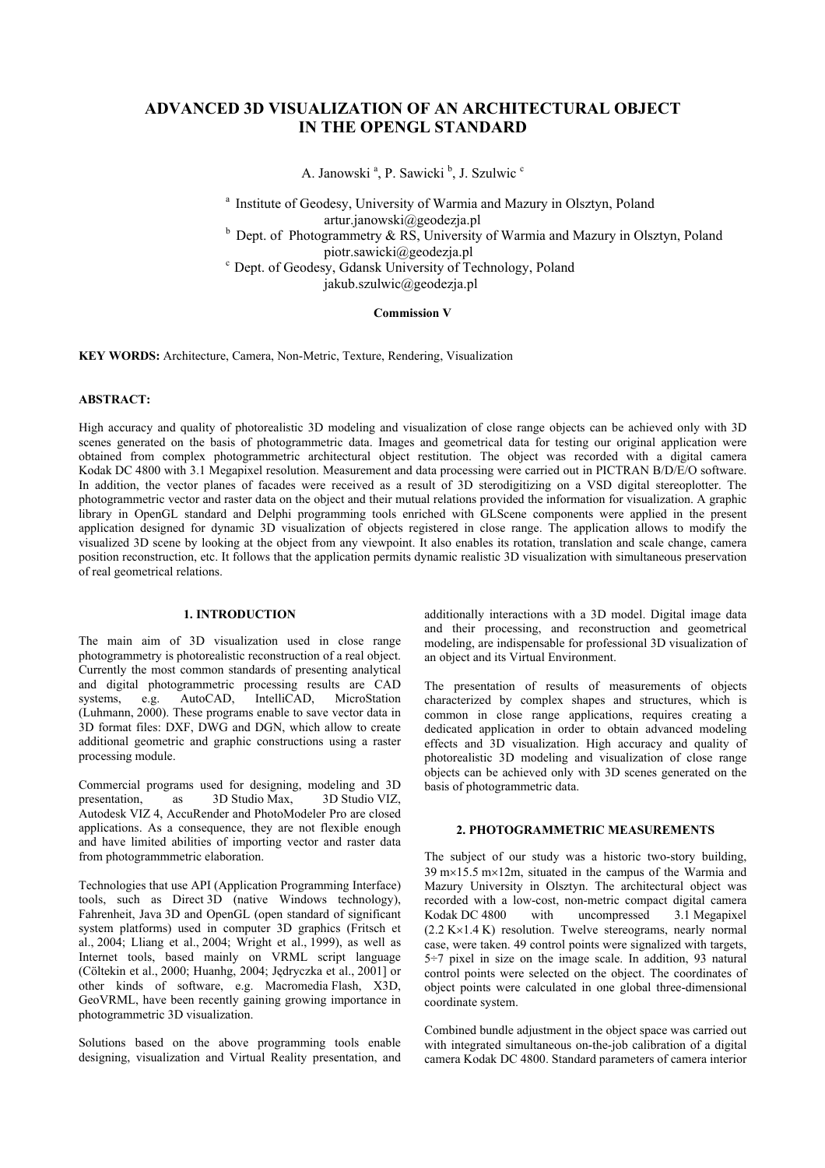# **ADVANCED 3D VISUALIZATION OF AN ARCHITECTURAL OBJECT IN THE OPENGL STANDARD**

A. Janowski<sup>a</sup>, P. Sawicki<sup>b</sup>, J. Szulwic<sup>c</sup>

<sup>a</sup> Institute of Geodesy, University of Warmia and Mazury in Olsztyn, Poland artur.janowski@geodezja.pl  $b$  Dept. of Photogrammetry & RS, University of Warmia and Mazury in Olsztyn, Poland

piotr.sawicki@geodezja.pl<br>
<sup>c</sup> Dept. of Geodesy, Gdansk University of Technology, Poland

jakub.szulwic@geodezja.pl

## **Commission V**

**KEY WORDS:** Architecture, Camera, Non-Metric, Texture, Rendering, Visualization

#### **ABSTRACT:**

High accuracy and quality of photorealistic 3D modeling and visualization of close range objects can be achieved only with 3D scenes generated on the basis of photogrammetric data. Images and geometrical data for testing our original application were obtained from complex photogrammetric architectural object restitution. The object was recorded with a digital camera Kodak DC 4800 with 3.1 Megapixel resolution. Measurement and data processing were carried out in PICTRAN B/D/E/O software. In addition, the vector planes of facades were received as a result of 3D sterodigitizing on a VSD digital stereoplotter. The photogrammetric vector and raster data on the object and their mutual relations provided the information for visualization. A graphic library in OpenGL standard and Delphi programming tools enriched with GLScene components were applied in the present application designed for dynamic 3D visualization of objects registered in close range. The application allows to modify the visualized 3D scene by looking at the object from any viewpoint. It also enables its rotation, translation and scale change, camera position reconstruction, etc. It follows that the application permits dynamic realistic 3D visualization with simultaneous preservation of real geometrical relations.

## **1. INTRODUCTION**

The main aim of 3D visualization used in close range photogrammetry is photorealistic reconstruction of a real object. Currently the most common standards of presenting analytical and digital photogrammetric processing results are CAD<br>systems. e.g. AutoCAD, IntelliCAD, MicroStation e.g. AutoCAD, IntelliCAD, MicroStation (Luhmann, 2000). These programs enable to save vector data in 3D format files: DXF, DWG and DGN, which allow to create additional geometric and graphic constructions using a raster processing module.

Commercial programs used for designing, modeling and 3D presentation, as 3D Studio Max, 3D Studio VIZ, Autodesk VIZ 4, AccuRender and PhotoModeler Pro are closed applications. As a consequence, they are not flexible enough and have limited abilities of importing vector and raster data from photogrammmetric elaboration.

Technologies that use API (Application Programming Interface) tools, such as Direct 3D (native Windows technology), Fahrenheit, Java 3D and OpenGL (open standard of significant system platforms) used in computer 3D graphics (Fritsch et al., 2004; Lliang et al., 2004; Wright et al., 1999), as well as Internet tools, based mainly on VRML script language (Cöltekin et al., 2000; Huanhg, 2004; Jędryczka et al., 2001] or other kinds of software, e.g. Macromedia Flash, X3D, GeoVRML, have been recently gaining growing importance in photogrammetric 3D visualization.

Solutions based on the above programming tools enable designing, visualization and Virtual Reality presentation, and additionally interactions with a 3D model. Digital image data and their processing, and reconstruction and geometrical modeling, are indispensable for professional 3D visualization of an object and its Virtual Environment.

The presentation of results of measurements of objects characterized by complex shapes and structures, which is common in close range applications, requires creating a dedicated application in order to obtain advanced modeling effects and 3D visualization. High accuracy and quality of photorealistic 3D modeling and visualization of close range objects can be achieved only with 3D scenes generated on the basis of photogrammetric data.

### **2. PHOTOGRAMMETRIC MEASUREMENTS**

The subject of our study was a historic two-story building, 39 m×15.5 m×12m, situated in the campus of the Warmia and Mazury University in Olsztyn. The architectural object was recorded with a low-cost, non-metric compact digital camera Kodak DC 4800 with uncompressed 3.1 Megapixel (2.2 K×1.4 K) resolution. Twelve stereograms, nearly normal case, were taken. 49 control points were signalized with targets, 5÷7 pixel in size on the image scale. In addition, 93 natural control points were selected on the object. The coordinates of object points were calculated in one global three-dimensional coordinate system.

Combined bundle adjustment in the object space was carried out with integrated simultaneous on-the-job calibration of a digital camera Kodak DC 4800. Standard parameters of camera interior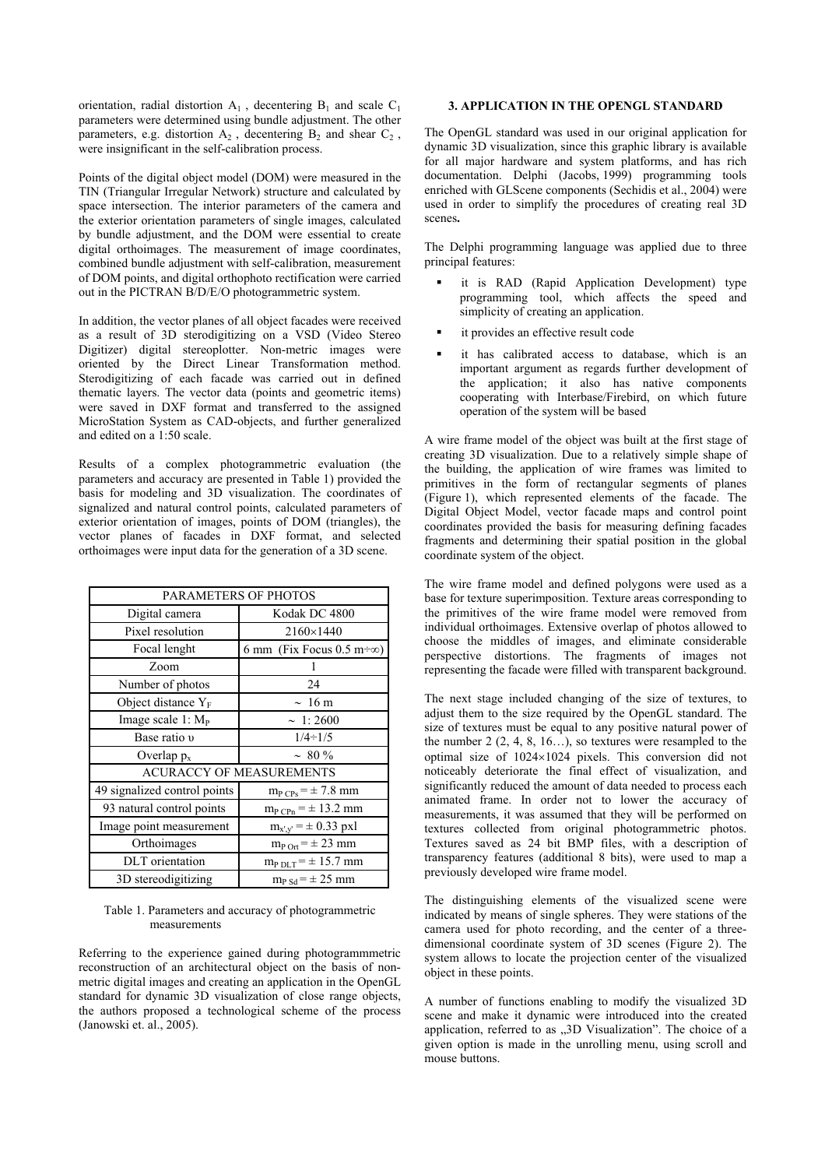orientation, radial distortion  $A_1$ , decentering  $B_1$  and scale  $C_1$ parameters were determined using bundle adjustment. The other parameters, e.g. distortion  $A_2$ , decentering  $B_2$  and shear  $C_2$ , were insignificant in the self-calibration process.

Points of the digital object model (DOM) were measured in the TIN (Triangular Irregular Network) structure and calculated by space intersection. The interior parameters of the camera and the exterior orientation parameters of single images, calculated by bundle adjustment, and the DOM were essential to create digital orthoimages. The measurement of image coordinates, combined bundle adjustment with self-calibration, measurement of DOM points, and digital orthophoto rectification were carried out in the PICTRAN B/D/E/O photogrammetric system.

In addition, the vector planes of all object facades were received as a result of 3D sterodigitizing on a VSD (Video Stereo Digitizer) digital stereoplotter. Non-metric images were oriented by the Direct Linear Transformation method. Sterodigitizing of each facade was carried out in defined thematic layers. The vector data (points and geometric items) were saved in DXF format and transferred to the assigned MicroStation System as CAD-objects, and further generalized and edited on a 1:50 scale.

Results of a complex photogrammetric evaluation (the parameters and accuracy are presented in Table 1) provided the basis for modeling and 3D visualization. The coordinates of signalized and natural control points, calculated parameters of exterior orientation of images, points of DOM (triangles), the vector planes of facades in DXF format, and selected orthoimages were input data for the generation of a 3D scene.

| PARAMETERS OF PHOTOS            |                                            |
|---------------------------------|--------------------------------------------|
| Digital camera                  | Kodak DC 4800                              |
| Pixel resolution                | 2160×1440                                  |
| Focal lenght                    | 6 mm (Fix Focus 0.5 m $\div\infty$ )       |
| Zoom                            |                                            |
| Number of photos                | 24                                         |
| Object distance $Y_F$           | $\sim 16 \text{ m}$                        |
| Image scale $1: M_{P}$          | $\sim 1:2600$                              |
| Base ratio v                    | $1/4 \div 1/5$                             |
| Overlap $p_x$                   | $\sim 80 \%$                               |
| <b>ACURACCY OF MEASUREMENTS</b> |                                            |
| 49 signalized control points    | $m_{P \text{ CPs}} = \pm 7.8 \text{ mm}$   |
| 93 natural control points       | $m_{P\ C\text{Pn}} = \pm 13.2 \ \text{mm}$ |
| Image point measurement         | $m_{x',y'} = \pm 0.33 \text{ pxl}$         |
| Orthoimages                     | $m_{P \text{ Ort}} = \pm 23$ mm            |
| DLT orientation                 | $m_{P D L T} = \pm 15.7$ mm                |
| 3D stereodigitizing             | $m_{P Sd} = \pm 25$ mm                     |

#### Table 1. Parameters and accuracy of photogrammetric measurements

Referring to the experience gained during photogrammmetric reconstruction of an architectural object on the basis of nonmetric digital images and creating an application in the OpenGL standard for dynamic 3D visualization of close range objects, the authors proposed a technological scheme of the process (Janowski et. al., 2005).

### **3. APPLICATION IN THE OPENGL STANDARD**

The OpenGL standard was used in our original application for dynamic 3D visualization, since this graphic library is available for all major hardware and system platforms, and has rich documentation. Delphi (Jacobs, 1999) programming tools enriched with GLScene components (Sechidis et al., 2004) were used in order to simplify the procedures of creating real 3D scenes**.**

The Delphi programming language was applied due to three principal features:

- it is RAD (Rapid Application Development) type programming tool, which affects the speed and simplicity of creating an application.
- it provides an effective result code
- it has calibrated access to database, which is an important argument as regards further development of the application; it also has native components cooperating with Interbase/Firebird, on which future operation of the system will be based

A wire frame model of the object was built at the first stage of creating 3D visualization. Due to a relatively simple shape of the building, the application of wire frames was limited to primitives in the form of rectangular segments of planes (Figure 1), which represented elements of the facade. The Digital Object Model, vector facade maps and control point coordinates provided the basis for measuring defining facades fragments and determining their spatial position in the global coordinate system of the object.

The wire frame model and defined polygons were used as a base for texture superimposition. Texture areas corresponding to the primitives of the wire frame model were removed from individual orthoimages. Extensive overlap of photos allowed to choose the middles of images, and eliminate considerable perspective distortions. The fragments of images not representing the facade were filled with transparent background.

The next stage included changing of the size of textures, to adjust them to the size required by the OpenGL standard. The size of textures must be equal to any positive natural power of the number 2  $(2, 4, 8, 16...)$ , so textures were resampled to the optimal size of 1024×1024 pixels. This conversion did not noticeably deteriorate the final effect of visualization, and significantly reduced the amount of data needed to process each animated frame. In order not to lower the accuracy of measurements, it was assumed that they will be performed on textures collected from original photogrammetric photos. Textures saved as 24 bit BMP files, with a description of transparency features (additional 8 bits), were used to map a previously developed wire frame model.

The distinguishing elements of the visualized scene were indicated by means of single spheres. They were stations of the camera used for photo recording, and the center of a threedimensional coordinate system of 3D scenes (Figure 2). The system allows to locate the projection center of the visualized object in these points.

A number of functions enabling to modify the visualized 3D scene and make it dynamic were introduced into the created application, referred to as "3D Visualization". The choice of a given option is made in the unrolling menu, using scroll and mouse buttons.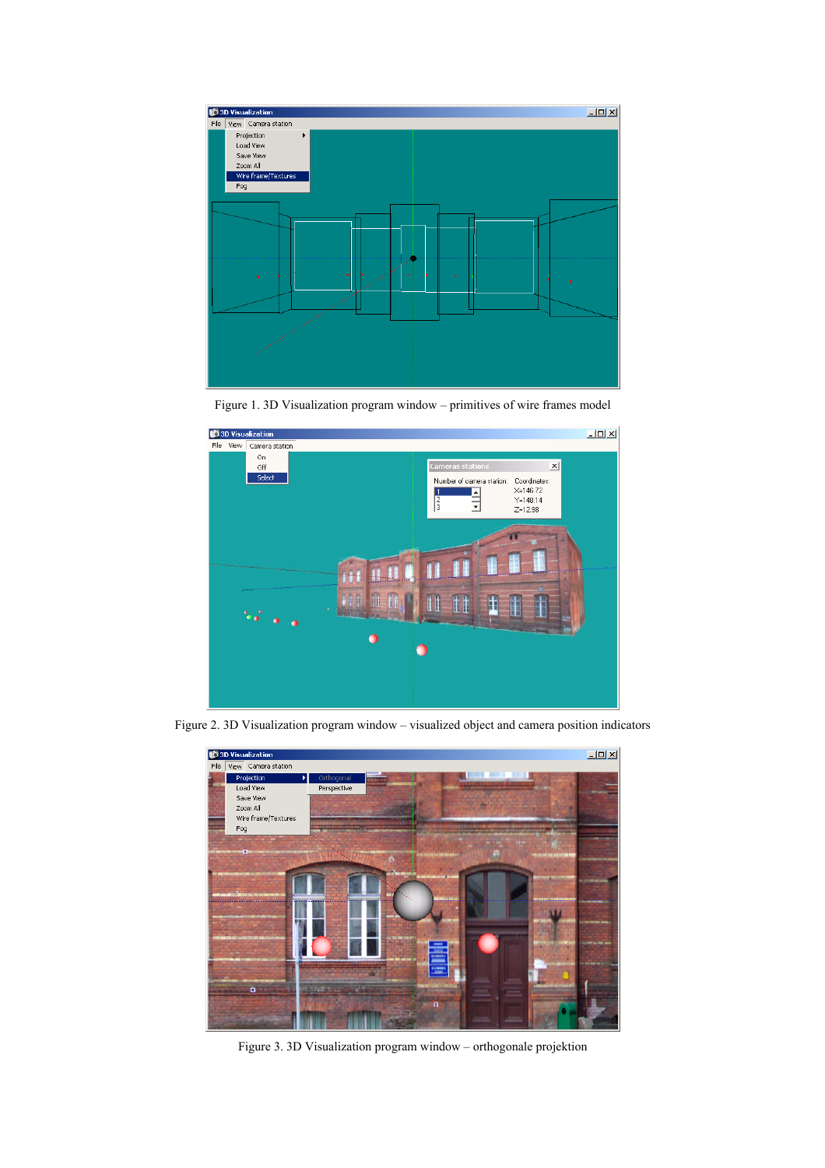

Figure 1. 3D Visualization program window – primitives of wire frames model



Figure 2. 3D Visualization program window – visualized object and camera position indicators



Figure 3. 3D Visualization program window – orthogonale projektion